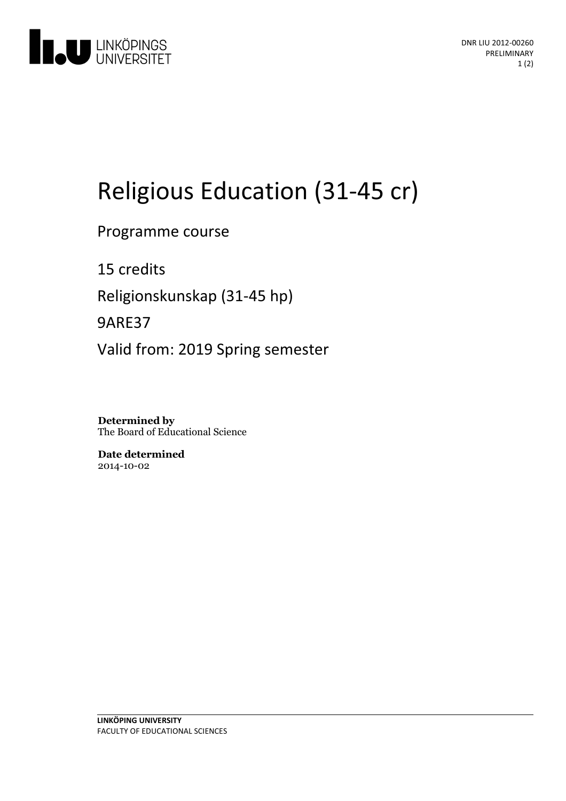

# Religious Education (31-45 cr)

Programme course

15 credits Religionskunskap (31-45 hp) 9ARE37 Valid from: 2019 Spring semester

**Determined by** The Board of Educational Science

**Date determined** 2014-10-02